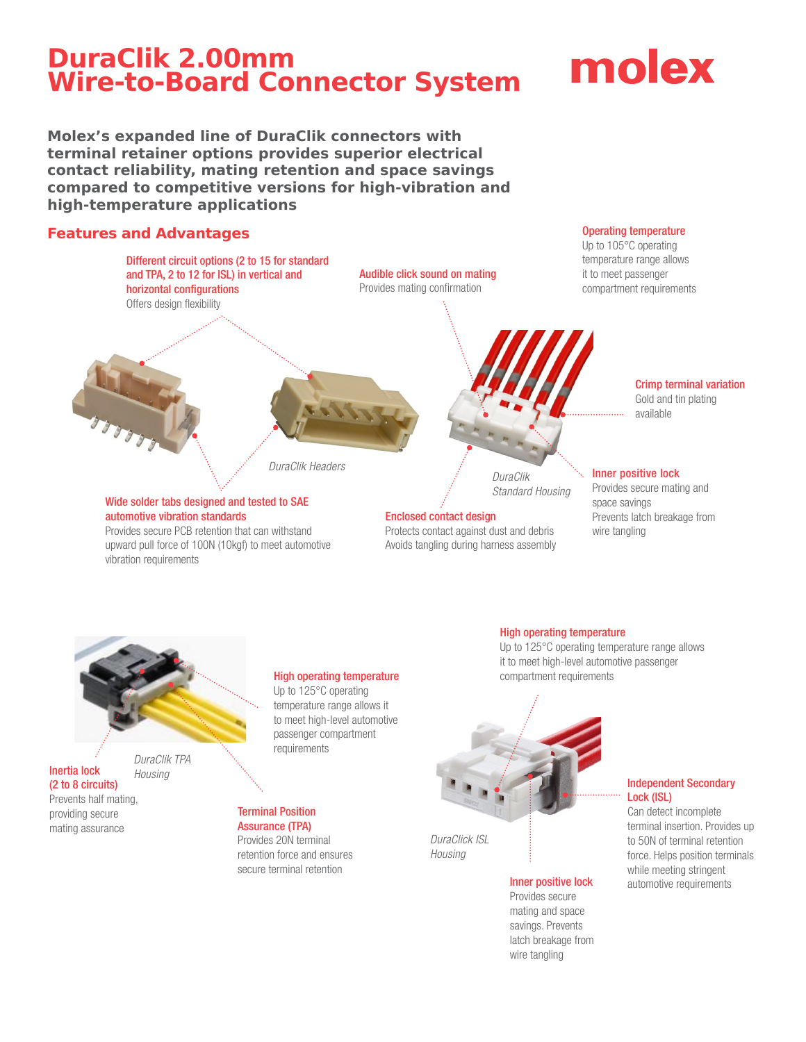# molex

Operating temperature

**Molex's expanded line of DuraClik connectors with terminal retainer options provides superior electrical contact reliability, mating retention and space savings compared to competitive versions for high-vibration and high-temperature applications**

### **Features and Advantages**



savings. Prevents latch breakage from wire tangling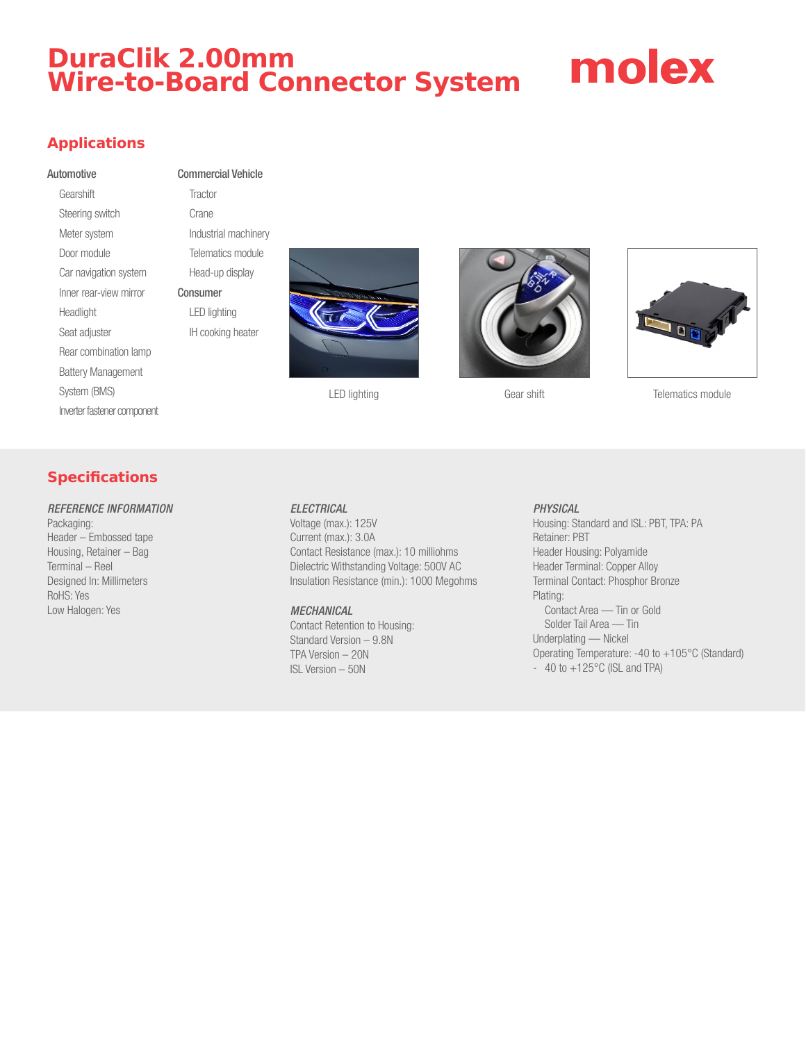# molex

## **Applications**

### Automotive

### Commercial Vehicle

**Gearshift** Steering switch Meter system Door module Car navigation system Inner rear-view mirror Headlight Seat adjuster Rear combination lamp Battery Management System (BMS) Inverter fastener component

**Tractor** Crane Industrial machinery Telematics module Head-up display Consumer LED lighting IH cooking heater







LED lighting Contract Contract Gear shift Telematics module

### **Specifications**

### REFERENCE INFORMATION

Packaging: Header – Embossed tape Housing, Retainer – Bag Terminal – Reel Designed In: Millimeters RoHS: Yes Low Halogen: Yes

### **ELECTRICAL**

Voltage (max.): 125V Current (max.): 3.0A Contact Resistance (max.): 10 milliohms Dielectric Withstanding Voltage: 500V AC Insulation Resistance (min.): 1000 Megohms

### **MECHANICAL**

Contact Retention to Housing: Standard Version – 9.8N TPA Version – 20N ISL Version – 50N

### PHYSICAL

Housing: Standard and ISL: PBT, TPA: PA Retainer: PBT Header Housing: Polyamide Header Terminal: Copper Alloy Terminal Contact: Phosphor Bronze Plating: Contact Area — Tin or Gold Solder Tail Area — Tin Underplating — Nickel Operating Temperature: -40 to +105°C (Standard) - 40 to  $+125^{\circ}$ C (ISL and TPA)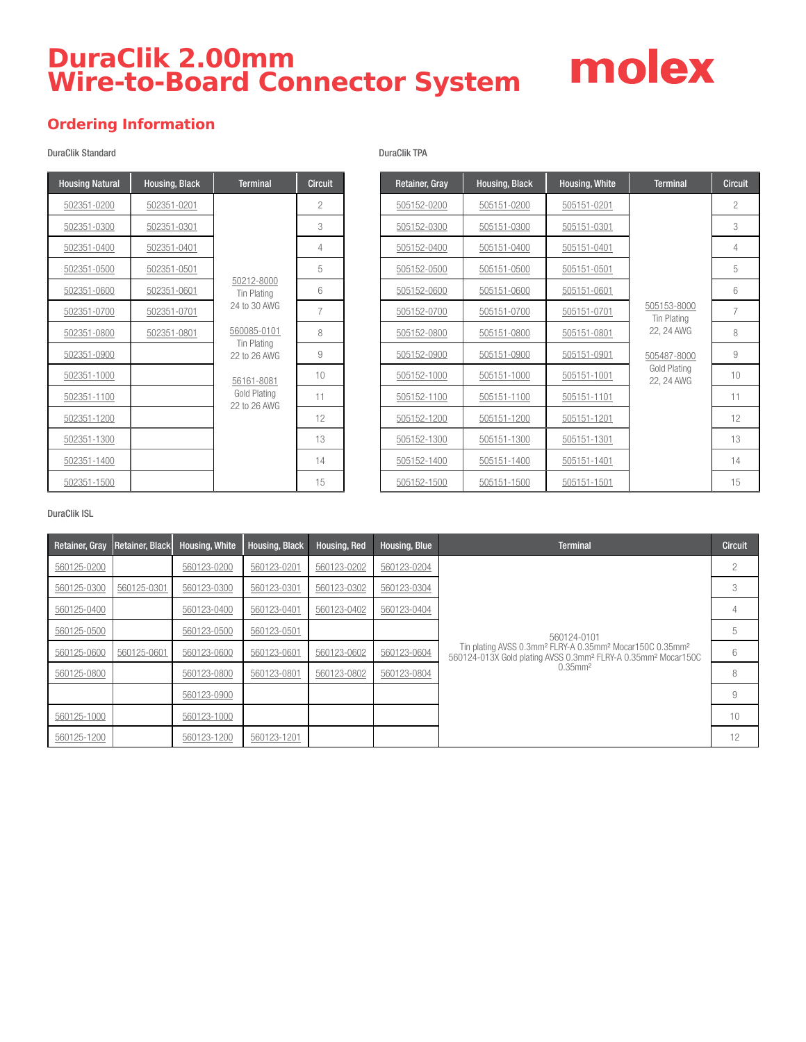# molex

### **Ordering Information**

### DuraClik Standard

| <b>Housing Natural</b> | Housing, Black | <b>Terminal</b>                                                                                                 | <b>Circuit</b> |
|------------------------|----------------|-----------------------------------------------------------------------------------------------------------------|----------------|
| 502351-0200            | 502351-0201    |                                                                                                                 | $\overline{2}$ |
| 502351-0300            | 502351-0301    |                                                                                                                 | 3              |
| 502351-0400            | 502351-0401    |                                                                                                                 | $\overline{4}$ |
| 502351-0500            | 502351-0501    |                                                                                                                 | 5              |
| 502351-0600            | 502351-0601    | 50212-8000<br><b>Tin Plating</b>                                                                                | 6              |
| 502351-0700            | 502351-0701    | 24 to 30 AWG<br>560085-0101<br><b>Tin Plating</b><br>22 to 26 AWG<br>56161-8081<br>Gold Plating<br>22 to 26 AWG | 7              |
| 502351-0800            | 502351-0801    |                                                                                                                 | 8              |
| 502351-0900            |                |                                                                                                                 | 9              |
| 502351-1000            |                |                                                                                                                 | 10             |
| 502351-1100            |                |                                                                                                                 | 11             |
| 502351-1200            |                |                                                                                                                 | 12             |
| 502351-1300            |                |                                                                                                                 | 13             |
| 502351-1400            |                |                                                                                                                 | 14             |
| 502351-1500            |                |                                                                                                                 | 15             |

| Retainer, Gray | Housing, Black | Housing, White | <b>Terminal</b>                   | <b>Circuit</b> |
|----------------|----------------|----------------|-----------------------------------|----------------|
| 505152-0200    | 505151-0200    | 505151-0201    |                                   | $\overline{2}$ |
| 505152-0300    | 505151-0300    | 505151-0301    |                                   | 3              |
| 505152-0400    | 505151-0400    | 505151-0401    |                                   | 4              |
| 505152-0500    | 505151-0500    | 505151-0501    |                                   | 5              |
| 505152-0600    | 505151-0600    | 505151-0601    |                                   | 6              |
| 505152-0700    | 505151-0700    | 505151-0701    | 505153-8000<br><b>Tin Plating</b> | 7              |
| 505152-0800    | 505151-0800    | 505151-0801    | 22, 24 AWG                        | 8              |
| 505152-0900    | 505151-0900    | 505151-0901    | 505487-8000                       | 9              |
| 505152-1000    | 505151-1000    | 505151-1001    | Gold Plating<br>22, 24 AWG        | 10             |
| 505152-1100    | 505151-1100    | 505151-1101    |                                   | 11             |
| 505152-1200    | 505151-1200    | 505151-1201    |                                   | 12             |
| 505152-1300    | 505151-1300    | 505151-1301    |                                   | 13             |
| 505152-1400    | 505151-1400    | 505151-1401    |                                   | 14             |
| 505152-1500    | 505151-1500    | 505151-1501    |                                   | 15             |

### DuraClik ISL

| Retainer, Gray | Retainer, Black | Housing, White | Housing, Black | Housing, Red | Housing, Blue | <b>Terminal</b>                                                                                                                                                                       | <b>Circuit</b> |
|----------------|-----------------|----------------|----------------|--------------|---------------|---------------------------------------------------------------------------------------------------------------------------------------------------------------------------------------|----------------|
| 560125-0200    |                 | 560123-0200    | 560123-0201    | 560123-0202  | 560123-0204   |                                                                                                                                                                                       | 2              |
| 560125-0300    | 560125-0301     | 560123-0300    | 560123-0301    | 560123-0302  | 560123-0304   |                                                                                                                                                                                       | 3              |
| 560125-0400    |                 | 560123-0400    | 560123-0401    | 560123-0402  | 560123-0404   |                                                                                                                                                                                       |                |
| 560125-0500    |                 | 560123-0500    | 560123-0501    |              |               | 560124-0101                                                                                                                                                                           | 5              |
| 560125-0600    | 560125-0601     | 560123-0600    | 560123-0601    | 560123-0602  | 560123-0604   | Tin plating AVSS 0.3mm <sup>2</sup> FLRY-A 0.35mm <sup>2</sup> Mocar150C 0.35mm <sup>2</sup><br>560124-013X Gold plating AVSS 0.3mm <sup>2</sup> FLRY-A 0.35mm <sup>2</sup> Mocar150C | 6              |
| 560125-0800    |                 | 560123-0800    | 560123-0801    | 560123-0802  | 560123-0804   | $0.35$ mm <sup>2</sup>                                                                                                                                                                | 8              |
|                |                 | 560123-0900    |                |              |               |                                                                                                                                                                                       | 9              |
| 560125-1000    |                 | 560123-1000    |                |              |               |                                                                                                                                                                                       | 10             |
| 560125-1200    |                 | 560123-1200    | 560123-1201    |              |               |                                                                                                                                                                                       | 12             |

#### DuraClik TPA